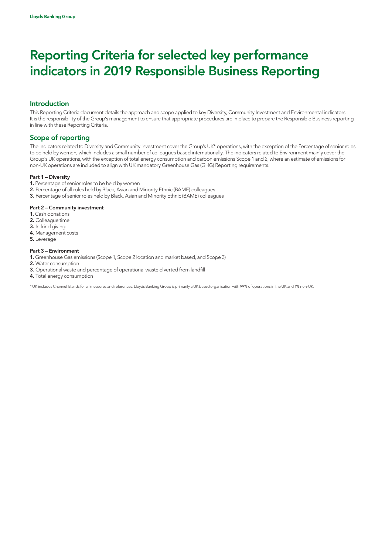### Introduction

This Reporting Criteria document details the approach and scope applied to key Diversity, Community Investment and Environmental indicators. It is the responsibility of the Group's management to ensure that appropriate procedures are in place to prepare the Responsible Business reporting in line with these Reporting Criteria.

### Scope of reporting

The indicators related to Diversity and Community Investment cover the Group's UK\* operations, with the exception of the Percentage of senior roles to be held by women, which includes a small number of colleagues based internationally. The indicators related to Environment mainly cover the Group's UK operations, with the exception of total energy consumption and carbon emissions Scope 1 and 2, where an estimate of emissions for non-UK operations are included to align with UK mandatory Greenhouse Gas (GHG) Reporting requirements.

#### Part 1 – Diversity

- 1. Percentage of senior roles to be held by women
- 2. Percentage of all roles held by Black, Asian and Minority Ethnic (BAME) colleagues
- 3. Percentage of senior roles held by Black, Asian and Minority Ethnic (BAME) colleagues

#### Part 2 – Community investment

- 1. Cash donations
- 2. Colleague time
- 3. In-kind giving
- 4. Management costs
- 5. Leverage

#### Part 3 – Environment

- 1. Greenhouse Gas emissions (Scope 1, Scope 2 location and market based, and Scope 3)
- 2. Water consumption
- 3. Operational waste and percentage of operational waste diverted from landfill
- 4. Total energy consumption

\* UK includes Channel Islands for all measures and references. Lloyds Banking Group is primarily a UK based organisation with 99% of operations in the UK and 1% non-UK.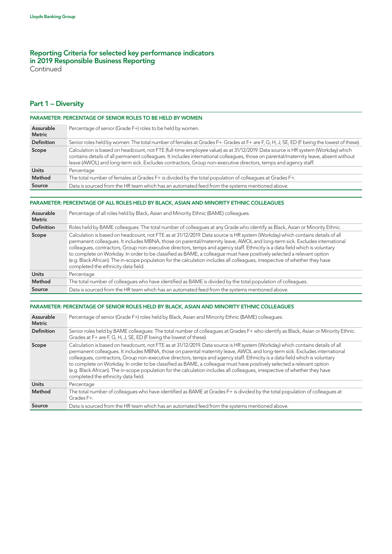**Continued** 

### Part 1 – Diversity

| <b>PARAMETER: PERCENTAGE OF SENIOR ROLES TO BE HELD BY WOMEN</b> |                                                                                                                                                                                                                                                                                                                                                                                            |  |  |
|------------------------------------------------------------------|--------------------------------------------------------------------------------------------------------------------------------------------------------------------------------------------------------------------------------------------------------------------------------------------------------------------------------------------------------------------------------------------|--|--|
| Assurable<br><b>Metric</b>                                       | Percentage of senior (Grade F+) roles to be held by women.                                                                                                                                                                                                                                                                                                                                 |  |  |
| <b>Definition</b>                                                | Senior roles held by women: The total number of females at Grades F+. Grades at F+ are F, G, H, J, SE, ED (F being the lowest of these).                                                                                                                                                                                                                                                   |  |  |
| Scope                                                            | Calculation is based on headcount, not FTE (full-time employee value) as at 31/12/2019. Data source is HR system (Workday) which<br>contains details of all permanent colleagues. It includes international colleagues, those on parental/maternity leave, absent without<br>leave (AWOL) and long-term sick. Excludes contractors, Group non-executive directors, temps and agency staff. |  |  |
| <b>Units</b>                                                     | Percentage                                                                                                                                                                                                                                                                                                                                                                                 |  |  |
| Method                                                           | The total number of females at Grades F+ is divided by the total population of colleagues at Grades F+.                                                                                                                                                                                                                                                                                    |  |  |
| Source                                                           | Data is sourced from the HR team which has an automated feed from the systems mentioned above.                                                                                                                                                                                                                                                                                             |  |  |

#### PARAMETER: PERCENTAGE OF ALL ROLES HELD BY BLACK, ASIAN AND MINORITY ETHNIC COLLEAGUES

| Assurable<br>Metric | Percentage of all roles held by Black, Asian and Minority Ethnic (BAME) colleagues.                                                                                                                                                                                                                                                                                                                                                                                                                                                                                                                                                                                                          |  |  |  |
|---------------------|----------------------------------------------------------------------------------------------------------------------------------------------------------------------------------------------------------------------------------------------------------------------------------------------------------------------------------------------------------------------------------------------------------------------------------------------------------------------------------------------------------------------------------------------------------------------------------------------------------------------------------------------------------------------------------------------|--|--|--|
| <b>Definition</b>   | Roles held by BAME colleagues: The total number of colleagues at any Grade who identify as Black, Asian or Minority Ethnic.                                                                                                                                                                                                                                                                                                                                                                                                                                                                                                                                                                  |  |  |  |
| Scope               | Calculation is based on headcount, not FTE as at 31/12/2019. Data source is HR system (Workday) which contains details of all<br>permanent colleagues. It includes MBNA, those on parental/maternity leave, AWOL and long-term sick. Excludes international<br>colleagues, contractors, Group non-executive directors, temps and agency staff. Ethnicity is a data field which is voluntary<br>to complete on Workday. In order to be classified as BAME, a colleague must have positively selected a relevant option<br>(e.g. Black African). The in-scope population for the calculation includes all colleagues, irrespective of whether they have<br>completed the ethnicity data field. |  |  |  |
| <b>Units</b>        | Percentage                                                                                                                                                                                                                                                                                                                                                                                                                                                                                                                                                                                                                                                                                   |  |  |  |
| Method              | The total number of colleagues who have identified as BAME is divided by the total population of colleagues.                                                                                                                                                                                                                                                                                                                                                                                                                                                                                                                                                                                 |  |  |  |
| Source              | Data is sourced from the HR team which has an automated feed from the systems mentioned above.                                                                                                                                                                                                                                                                                                                                                                                                                                                                                                                                                                                               |  |  |  |

|                            | PARAMETER: PERCENTAGE OF SENIOR ROLES HELD BY BLACK, ASIAN AND MINORITY ETHNIC COLLEAGUES                                                                                                                                                                                                                                                                                                                                                                                                                                                                                                                                                                                                    |  |  |
|----------------------------|----------------------------------------------------------------------------------------------------------------------------------------------------------------------------------------------------------------------------------------------------------------------------------------------------------------------------------------------------------------------------------------------------------------------------------------------------------------------------------------------------------------------------------------------------------------------------------------------------------------------------------------------------------------------------------------------|--|--|
| Assurable<br><b>Metric</b> | Percentage of senior (Grade F+) roles held by Black, Asian and Minority Ethnic (BAME) colleagues.                                                                                                                                                                                                                                                                                                                                                                                                                                                                                                                                                                                            |  |  |
| <b>Definition</b>          | Senior roles held by BAME colleagues: The total number of colleagues at Grades F+ who identify as Black, Asian or Minority Ethnic.<br>Grades at F+ are F, G, H, J, SE, ED (F being the lowest of these).                                                                                                                                                                                                                                                                                                                                                                                                                                                                                     |  |  |
| Scope                      | Calculation is based on headcount, not FTE as at 31/12/2019. Data source is HR system (Workday) which contains details of all<br>permanent colleagues. It includes MBNA, those on parental maternity leave, AWOL and long-term sick. Excludes international<br>colleagues, contractors, Group non-executive directors, temps and agency staff. Ethnicity is a data field which is voluntary<br>to complete on Workday. In order to be classified as BAME, a colleague must have positively selected a relevant option<br>(e.g. Black African). The in-scope population for the calculation includes all colleagues, irrespective of whether they have<br>completed the ethnicity data field. |  |  |
| <b>Units</b>               | Percentage                                                                                                                                                                                                                                                                                                                                                                                                                                                                                                                                                                                                                                                                                   |  |  |
| Method                     | The total number of colleagues who have identified as BAME at Grades F+ is divided by the total population of colleagues at<br>Grades F+.                                                                                                                                                                                                                                                                                                                                                                                                                                                                                                                                                    |  |  |
| Source                     | Data is sourced from the HR team which has an automated feed from the systems mentioned above.                                                                                                                                                                                                                                                                                                                                                                                                                                                                                                                                                                                               |  |  |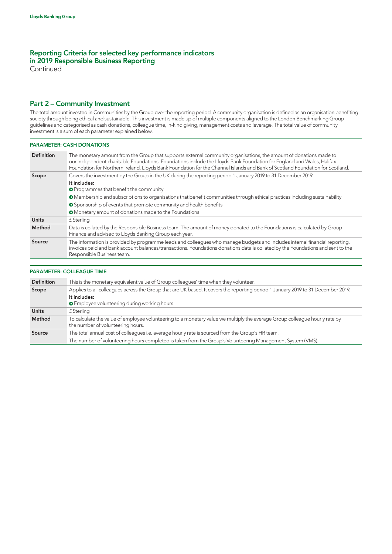**Continued** 

### Part 2 – Community Investment

The total amount invested in Communities by the Group over the reporting period. A community organisation is defined as an organisation benefiting society through being ethical and sustainable. This investment is made up of multiple components aligned to the London Benchmarking Group guidelines and categorised as cash donations, colleague time, in-kind giving, management costs and leverage. The total value of community investment is a sum of each parameter explained below.

#### PARAMETER: CASH DONATIONS

| <b>Definition</b> | The monetary amount from the Group that supports external community organisations, the amount of donations made to<br>our independent charitable Foundations. Foundations include the Lloyds Bank Foundation for England and Wales, Halifax<br>Foundation for Northern Ireland, Lloyds Bank Foundation for the Channel Islands and Bank of Scotland Foundation for Scotland.                                                                  |  |  |  |
|-------------------|-----------------------------------------------------------------------------------------------------------------------------------------------------------------------------------------------------------------------------------------------------------------------------------------------------------------------------------------------------------------------------------------------------------------------------------------------|--|--|--|
| Scope             | Covers the investment by the Group in the UK during the reporting period 1 January 2019 to 31 December 2019.<br>It includes:<br><b>O</b> Programmes that benefit the community<br>• Membership and subscriptions to organisations that benefit communities through ethical practices including sustainability<br>• Sponsorship of events that promote community and health benefits<br>• Monetary amount of donations made to the Foundations |  |  |  |
| <b>Units</b>      | f Sterling                                                                                                                                                                                                                                                                                                                                                                                                                                    |  |  |  |
| Method            | Data is collated by the Responsible Business team. The amount of money donated to the Foundations is calculated by Group<br>Finance and advised to Lloyds Banking Group each year.                                                                                                                                                                                                                                                            |  |  |  |
| Source            | The information is provided by programme leads and colleagues who manage budgets and includes internal financial reporting,<br>invoices paid and bank account balances/transactions. Foundations donations data is collated by the Foundations and sent to the<br>Responsible Business team.                                                                                                                                                  |  |  |  |

#### PARAMETER: COLLEAGUE TIME

| Definition   | This is the monetary equivalent value of Group colleagues' time when they volunteer.                                                                            |  |  |  |
|--------------|-----------------------------------------------------------------------------------------------------------------------------------------------------------------|--|--|--|
| Scope        | Applies to all colleagues across the Group that are UK based. It covers the reporting period 1 January 2019 to 31 December 2019.                                |  |  |  |
|              | It includes:                                                                                                                                                    |  |  |  |
|              | <b>E</b> mployee volunteering during working hours                                                                                                              |  |  |  |
| <b>Units</b> | £ Sterling                                                                                                                                                      |  |  |  |
| Method       | To calculate the value of employee volunteering to a monetary value we multiply the average Group colleague hourly rate by<br>the number of volunteering hours. |  |  |  |
| Source       | The total annual cost of colleagues i.e. average hourly rate is sourced from the Group's HR team.                                                               |  |  |  |
|              | The number of volunteering hours completed is taken from the Group's Volunteering Management System (VMS).                                                      |  |  |  |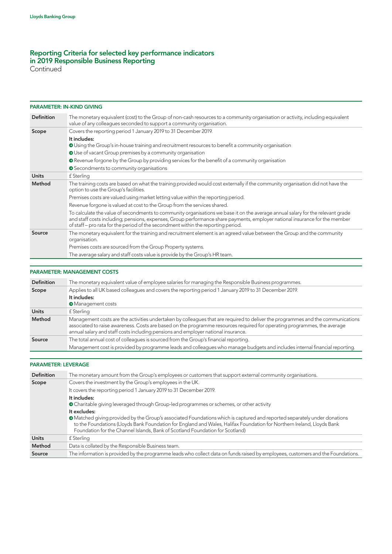Continued

### PARAMETER: IN-KIND GIVING

| <b>Definition</b> | The monetary equivalent (cost) to the Group of non-cash resources to a community organisation or activity, including equivalent<br>value of any colleagues seconded to support a community organisation.                                                                                                                                            |
|-------------------|-----------------------------------------------------------------------------------------------------------------------------------------------------------------------------------------------------------------------------------------------------------------------------------------------------------------------------------------------------|
| Scope             | Covers the reporting period 1 January 2019 to 31 December 2019.                                                                                                                                                                                                                                                                                     |
|                   | It includes:<br>O Using the Group's in-house training and recruitment resources to benefit a community organisation                                                                                                                                                                                                                                 |
|                   | O Use of vacant Group premises by a community organisation                                                                                                                                                                                                                                                                                          |
|                   | • Revenue forgone by the Group by providing services for the benefit of a community organisation                                                                                                                                                                                                                                                    |
|                   | ● Secondments to community organisations                                                                                                                                                                                                                                                                                                            |
| <b>Units</b>      | f Sterling                                                                                                                                                                                                                                                                                                                                          |
| Method            | The training costs are based on what the training provided would cost externally if the community organisation did not have the<br>option to use the Group's facilities.                                                                                                                                                                            |
|                   | Premises costs are valued using market letting value within the reporting period.                                                                                                                                                                                                                                                                   |
|                   | Revenue forgone is valued at cost to the Group from the services shared.                                                                                                                                                                                                                                                                            |
|                   | To calculate the value of secondments to community organisations we base it on the average annual salary for the relevant grade<br>and staff costs including; pensions, expenses, Group performance share payments, employer national insurance for the member<br>of staff – pro rata for the period of the secondment within the reporting period. |
| Source            | The monetary equivalent for the training and recruitment element is an agreed value between the Group and the community<br>organisation.                                                                                                                                                                                                            |
|                   | Premises costs are sourced from the Group Property systems.                                                                                                                                                                                                                                                                                         |
|                   | The average salary and staff costs value is provide by the Group's HR team.                                                                                                                                                                                                                                                                         |

### PARAMETER: MANAGEMENT COSTS

| <b>Definition</b> | The monetary equivalent value of employee salaries for managing the Responsible Business programmes.                                                                                                                                                                                                                                             |  |  |  |
|-------------------|--------------------------------------------------------------------------------------------------------------------------------------------------------------------------------------------------------------------------------------------------------------------------------------------------------------------------------------------------|--|--|--|
| Scope             | Applies to all UK based colleagues and covers the reporting period 1 January 2019 to 31 December 2019.                                                                                                                                                                                                                                           |  |  |  |
|                   | It includes:                                                                                                                                                                                                                                                                                                                                     |  |  |  |
|                   | <b>Management costs</b>                                                                                                                                                                                                                                                                                                                          |  |  |  |
| <b>Units</b>      | f Sterling                                                                                                                                                                                                                                                                                                                                       |  |  |  |
| Method            | Management costs are the activities undertaken by colleagues that are required to deliver the programmes and the communications<br>associated to raise awareness. Costs are based on the programme resources required for operating programmes, the average<br>annual salary and staff costs including pensions and employer national insurance. |  |  |  |
| Source            | The total annual cost of colleagues is sourced from the Group's financial reporting.                                                                                                                                                                                                                                                             |  |  |  |
|                   | Management cost is provided by programme leads and colleagues who manage budgets and includes internal financial reporting.                                                                                                                                                                                                                      |  |  |  |

### PARAMETER: LEVERAGE

| <b>Definition</b> | The monetary amount from the Group's employees or customers that support external community organisations.                                                                                                                                                                                                                                           |  |  |  |  |  |
|-------------------|------------------------------------------------------------------------------------------------------------------------------------------------------------------------------------------------------------------------------------------------------------------------------------------------------------------------------------------------------|--|--|--|--|--|
| Scope             | Covers the investment by the Group's employees in the UK.                                                                                                                                                                                                                                                                                            |  |  |  |  |  |
|                   | It covers the reporting period 1 January 2019 to 31 December 2019.                                                                                                                                                                                                                                                                                   |  |  |  |  |  |
|                   | It includes:<br>• Charitable giving leveraged through Group-led programmes or schemes, or other activity                                                                                                                                                                                                                                             |  |  |  |  |  |
|                   | It excludes:<br>• Matched giving provided by the Group's associated Foundations which is captured and reported separately under donations<br>to the Foundations (Lloyds Bank Foundation for England and Wales, Halifax Foundation for Northern Ireland, Lloyds Bank<br>Foundation for the Channel Islands, Bank of Scotland Foundation for Scotland) |  |  |  |  |  |
| <b>Units</b>      | £ Sterling                                                                                                                                                                                                                                                                                                                                           |  |  |  |  |  |
| Method            | Data is collated by the Responsible Business team.                                                                                                                                                                                                                                                                                                   |  |  |  |  |  |
| Source            | The information is provided by the programme leads who collect data on funds raised by employees, customers and the Foundations.                                                                                                                                                                                                                     |  |  |  |  |  |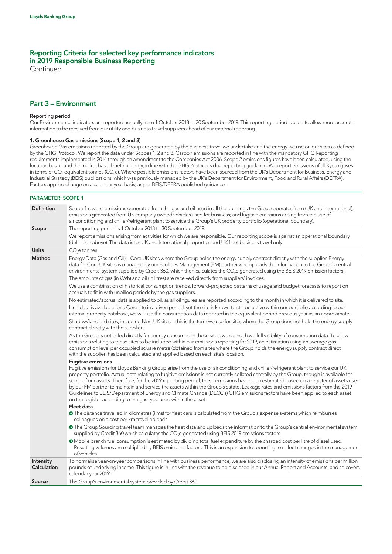Continued

### Part 3 – Environment

#### Reporting period

Our Environmental indicators are reported annually from 1 October 2018 to 30 September 2019. This reporting period is used to allow more accurate information to be received from our utility and business travel suppliers ahead of our external reporting.

#### 1. Greenhouse Gas emissions (Scope 1, 2 and 3)

Greenhouse Gas emissions reported by the Group are generated by the business travel we undertake and the energy we use on our sites as defined by the GHG Protocol. We report the data under Scopes 1, 2 and 3. Carbon emissions are reported in line with the mandatory GHG Reporting requirements implemented in 2014 through an amendment to the Companies Act 2006. Scope 2 emissions figures have been calculated, using the location based and the market based methodology, in line with the GHG Protocol's dual reporting guidance. We report emissions of all Kyoto gases in terms of CO<sub>2</sub> equivalent tonnes (CO<sub>2</sub>e). Where possible emissions factors have been sourced from the UK's Department for Business, Energy and Industrial Strategy (BEIS) publications, which was previously managed by the UK's Department for Environment, Food and Rural Affairs (DEFRA). Factors applied change on a calendar year basis, as per BEIS/DEFRA published guidance.

#### PARAMETER: SCOPE 1

| Definition               | Scope 1 covers: emissions generated from the gas and oil used in all the buildings the Group operates from (UK and International);<br>emissions generated from UK company owned vehicles used for business; and fugitive emissions arising from the use of<br>air conditioning and chiller/refrigerant plant to service the Group's UK property portfolio (operational boundary).                                                                                                                                                                                                                                                                                                                                                                            |  |  |
|--------------------------|--------------------------------------------------------------------------------------------------------------------------------------------------------------------------------------------------------------------------------------------------------------------------------------------------------------------------------------------------------------------------------------------------------------------------------------------------------------------------------------------------------------------------------------------------------------------------------------------------------------------------------------------------------------------------------------------------------------------------------------------------------------|--|--|
| Scope                    | The reporting period is 1 October 2018 to 30 September 2019.                                                                                                                                                                                                                                                                                                                                                                                                                                                                                                                                                                                                                                                                                                 |  |  |
|                          | We report emissions arising from activities for which we are responsible. Our reporting scope is against an operational boundary<br>(definition above). The data is for UK and International properties and UK fleet business travel only.                                                                                                                                                                                                                                                                                                                                                                                                                                                                                                                   |  |  |
| <b>Units</b>             | $CO2e$ tonnes                                                                                                                                                                                                                                                                                                                                                                                                                                                                                                                                                                                                                                                                                                                                                |  |  |
| Method                   | Energy Data (Gas and Oil) – Core UK sites where the Group holds the energy supply contract directly with the supplier. Energy<br>data for Core UK sites is managed by our Facilities Management (FM) partner who uploads the information to the Group's central<br>environmental system supplied by Credit 360, which then calculates the CO <sub>2</sub> e generated using the BEIS 2019 emission factors.                                                                                                                                                                                                                                                                                                                                                  |  |  |
|                          | The amounts of gas (in kWh) and oil (in litres) are received directly from suppliers' invoices.                                                                                                                                                                                                                                                                                                                                                                                                                                                                                                                                                                                                                                                              |  |  |
|                          | We use a combination of historical consumption trends, forward-projected patterns of usage and budget forecasts to report on<br>accruals to fit in with unbilled periods by the gas suppliers.                                                                                                                                                                                                                                                                                                                                                                                                                                                                                                                                                               |  |  |
|                          | No estimated/accrual data is applied to oil, as all oil figures are reported according to the month in which it is delivered to site.                                                                                                                                                                                                                                                                                                                                                                                                                                                                                                                                                                                                                        |  |  |
|                          | If no data is available for a Core site in a given period, yet the site is known to still be active within our portfolio according to our<br>internal property database, we will use the consumption data reported in the equivalent period previous year as an approximate.                                                                                                                                                                                                                                                                                                                                                                                                                                                                                 |  |  |
|                          | Shadow/landlord sites, including Non-UK sites - this is the term we use for sites where the Group does not hold the energy supply<br>contract directly with the supplier.                                                                                                                                                                                                                                                                                                                                                                                                                                                                                                                                                                                    |  |  |
|                          | As the Group is not billed directly for energy consumed in these sites, we do not have full visibility of consumption data. To allow<br>emissions relating to these sites to be included within our emissions reporting for 2019, an estimation using an average gas<br>consumption level per occupied square metre (obtained from sites where the Group holds the energy supply contract direct<br>with the supplier) has been calculated and applied based on each site's location.                                                                                                                                                                                                                                                                        |  |  |
|                          | <b>Fugitive emissions</b>                                                                                                                                                                                                                                                                                                                                                                                                                                                                                                                                                                                                                                                                                                                                    |  |  |
|                          | Fugitive emissions for Lloyds Banking Group arise from the use of air conditioning and chiller/refrigerant plant to service our UK<br>property portfolio. Actual data relating to fugitive emissions is not currently collated centrally by the Group, though is available for<br>some of our assets. Therefore, for the 2019 reporting period, these emissions have been estimated based on a register of assets used<br>by our FM partner to maintain and service the assets within the Group's estate. Leakage rates and emissions factors from the 2019<br>Guidelines to BEIS/Department of Energy and Climate Change (DECC's) GHG emissions factors have been applied to each asset<br>on the register according to the gas type used within the asset. |  |  |
|                          | Fleet data                                                                                                                                                                                                                                                                                                                                                                                                                                                                                                                                                                                                                                                                                                                                                   |  |  |
|                          | • The distance travelled in kilometres (kms) for fleet cars is calculated from the Group's expense systems which reimburses<br>colleagues on a cost per km travelled basis                                                                                                                                                                                                                                                                                                                                                                                                                                                                                                                                                                                   |  |  |
|                          | • The Group Sourcing travel team manages the fleet data and uploads the information to the Group's central environmental system<br>supplied by Credit 360 which calculates the CO <sub>2</sub> e generated using BEIS 2019 emissions factors                                                                                                                                                                                                                                                                                                                                                                                                                                                                                                                 |  |  |
|                          | • Mobile branch fuel consumption is estimated by dividing total fuel expenditure by the charged cost per litre of diesel used.<br>Resulting volumes are multiplied by BEIS emissions factors. This is an expansion to reporting to reflect changes in the management<br>of vehicles                                                                                                                                                                                                                                                                                                                                                                                                                                                                          |  |  |
| Intensity<br>Calculation | To normalise year-on-year comparisons in line with business performance, we are also disclosing an intensity of emissions per million<br>pounds of underlying income. This figure is in line with the revenue to be disclosed in our Annual Report and Accounts, and so covers<br>calendar year 2019.                                                                                                                                                                                                                                                                                                                                                                                                                                                        |  |  |
| Source                   | The Group's environmental system provided by Credit 360.                                                                                                                                                                                                                                                                                                                                                                                                                                                                                                                                                                                                                                                                                                     |  |  |
|                          |                                                                                                                                                                                                                                                                                                                                                                                                                                                                                                                                                                                                                                                                                                                                                              |  |  |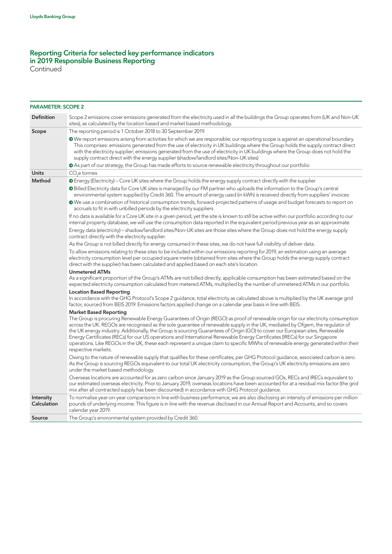Continued

| <b>PARAMETER: SCOPE 2</b> |                                                                                                                                                                                                                                                                                                                                                                                                                                                                                                                                                                                                                                                                                            |  |  |  |  |  |
|---------------------------|--------------------------------------------------------------------------------------------------------------------------------------------------------------------------------------------------------------------------------------------------------------------------------------------------------------------------------------------------------------------------------------------------------------------------------------------------------------------------------------------------------------------------------------------------------------------------------------------------------------------------------------------------------------------------------------------|--|--|--|--|--|
| Definition                | Scope 2 emissions cover emissions generated from the electricity used in all the buildings the Group operates from (UK and Non-UK<br>sites), as calculated by the location based and market based methodology.                                                                                                                                                                                                                                                                                                                                                                                                                                                                             |  |  |  |  |  |
| Scope                     | The reporting period is 1 October 2018 to 30 September 2019.                                                                                                                                                                                                                                                                                                                                                                                                                                                                                                                                                                                                                               |  |  |  |  |  |
|                           | • We report emissions arising from activities for which we are responsible; our reporting scope is against an operational boundary.<br>This comprises: emissions generated from the use of electricity in UK buildings where the Group holds the supply contract direct<br>with the electricity supplier; emissions generated from the use of electricity in UK buildings where the Group does not hold the<br>supply contract direct with the energy supplier (shadow/landlord sites/Non-UK sites)                                                                                                                                                                                        |  |  |  |  |  |
|                           | • As part of our strategy, the Group has made efforts to source renewable electricity throughout our portfolio                                                                                                                                                                                                                                                                                                                                                                                                                                                                                                                                                                             |  |  |  |  |  |
| <b>Units</b>              | $CO2e$ tonnes                                                                                                                                                                                                                                                                                                                                                                                                                                                                                                                                                                                                                                                                              |  |  |  |  |  |
| Method                    | <b>O</b> Energy (Electricity) - Core UK sites where the Group holds the energy supply contract directly with the supplier                                                                                                                                                                                                                                                                                                                                                                                                                                                                                                                                                                  |  |  |  |  |  |
|                           | O Billed Electricity data for Core UK sites is managed by our FM partner who uploads the information to the Group's central<br>environmental system supplied by Credit 360. The amount of energy used (in kWh) is received directly from suppliers' invoices                                                                                                                                                                                                                                                                                                                                                                                                                               |  |  |  |  |  |
|                           | • We use a combination of historical consumption trends, forward-projected patterns of usage and budget forecasts to report on<br>accruals to fit in with unbilled periods by the electricity suppliers                                                                                                                                                                                                                                                                                                                                                                                                                                                                                    |  |  |  |  |  |
|                           | If no data is available for a Core UK site in a given period, yet the site is known to still be active within our portfolio according to our<br>internal property database, we will use the consumption data reported in the equivalent period previous year as an approximate.                                                                                                                                                                                                                                                                                                                                                                                                            |  |  |  |  |  |
|                           | Energy data (electricity) – shadow/landlord sites/Non-UK sites are those sites where the Group does not hold the energy supply<br>contract directly with the electricity supplier.                                                                                                                                                                                                                                                                                                                                                                                                                                                                                                         |  |  |  |  |  |
|                           | As the Group is not billed directly for energy consumed in these sites, we do not have full visibility of deliver data.                                                                                                                                                                                                                                                                                                                                                                                                                                                                                                                                                                    |  |  |  |  |  |
|                           | To allow emissions relating to these sites to be included within our emissions reporting for 2019, an estimation using an average<br>electricity consumption level per occupied square metre (obtained from sites where the Group holds the energy supply contract<br>direct with the supplier) has been calculated and applied based on each site's location.                                                                                                                                                                                                                                                                                                                             |  |  |  |  |  |
|                           | <b>Unmetered ATMs</b>                                                                                                                                                                                                                                                                                                                                                                                                                                                                                                                                                                                                                                                                      |  |  |  |  |  |
|                           | As a significant proportion of the Group's ATMs are not billed directly, applicable consumption has been estimated based on the<br>expected electricity consumption calculated from metered ATMs, multiplied by the number of unmetered ATMs in our portfolio.                                                                                                                                                                                                                                                                                                                                                                                                                             |  |  |  |  |  |
|                           | <b>Location Based Reporting</b>                                                                                                                                                                                                                                                                                                                                                                                                                                                                                                                                                                                                                                                            |  |  |  |  |  |
|                           | In accordance with the GHG Protocol's Scope 2 guidance, total electricity as calculated above is multiplied by the UK average grid<br>factor, sourced from BEIS 2019. Emissions factors applied change on a calendar year basis in line with BEIS.                                                                                                                                                                                                                                                                                                                                                                                                                                         |  |  |  |  |  |
|                           | <b>Market Based Reporting</b>                                                                                                                                                                                                                                                                                                                                                                                                                                                                                                                                                                                                                                                              |  |  |  |  |  |
|                           | The Group is procuring Renewable Energy Guarantees of Origin (REGO) as proof of renewable origin for our electricity consumption<br>across the UK. REGOs are recognised as the sole quarantee of renewable supply in the UK, mediated by Ofgem, the regulator of<br>the UK energy industry. Additionally, the Group is sourcing Guarantees of Origin (GO) to cover our European sites, Renewable<br>Energy Certificates (RECs) for our US operations and International Renewable Energy Certificates (IRECs) for our Singapore<br>operations. Like REGOs in the UK, these each represent a unique claim to specific MWhs of renewable energy generated within their<br>respective markets. |  |  |  |  |  |
|                           | Owing to the nature of renewable supply that qualifies for these certificates, per GHG Protocol guidance, associated carbon is zero.<br>As the Group is sourcing REGOs equivalent to our total UK electricity consumption, the Group's UK electricity emissions are zero<br>under the market based methodology.                                                                                                                                                                                                                                                                                                                                                                            |  |  |  |  |  |
|                           | Overseas locations are accounted for as zero carbon since January 2019 as the Group sourced GOs, RECs and IRECs equivalent to<br>our estimated overseas electricity. Prior to January 2019, overseas locations have been accounted for at a residual mix factor (the grid<br>mix after all contracted supply has been discounted) in accordance with GHG Protocol guidance.                                                                                                                                                                                                                                                                                                                |  |  |  |  |  |
| Intensity<br>Calculation  | To normalise year-on-year comparisons in line with business performance, we are also disclosing an intensity of emissions per million<br>pounds of underlying income. This figure is in line with the revenue disclosed in our Annual Report and Accounts, and so covers<br>calendar year 2019.                                                                                                                                                                                                                                                                                                                                                                                            |  |  |  |  |  |
| Source                    | The Group's environmental system provided by Credit 360.                                                                                                                                                                                                                                                                                                                                                                                                                                                                                                                                                                                                                                   |  |  |  |  |  |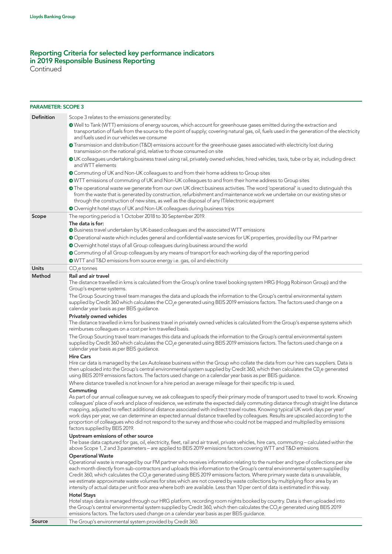Continued

| <b>PARAMETER: SCOPE 3</b> |                                                                                                                                                                                                                                                                                                                                                                                                                                                                                                                                                                                                                                                                                                                             |
|---------------------------|-----------------------------------------------------------------------------------------------------------------------------------------------------------------------------------------------------------------------------------------------------------------------------------------------------------------------------------------------------------------------------------------------------------------------------------------------------------------------------------------------------------------------------------------------------------------------------------------------------------------------------------------------------------------------------------------------------------------------------|
| Definition                | Scope 3 relates to the emissions generated by:                                                                                                                                                                                                                                                                                                                                                                                                                                                                                                                                                                                                                                                                              |
|                           | • Well to Tank (WTT) emissions of energy sources, which account for greenhouse gases emitted during the extraction and<br>transportation of fuels from the source to the point of supply; covering natural gas, oil, fuels used in the generation of the electricity<br>and fuels used in our vehicles we consume                                                                                                                                                                                                                                                                                                                                                                                                           |
|                           | • Transmission and distribution (T&D) emissions account for the greenhouse gases associated with electricity lost during<br>transmission on the national grid, relative to those consumed on site                                                                                                                                                                                                                                                                                                                                                                                                                                                                                                                           |
|                           | OUK colleagues undertaking business travel using rail, privately owned vehicles, hired vehicles, taxis, tube or by air, including direct<br>and WTT elements                                                                                                                                                                                                                                                                                                                                                                                                                                                                                                                                                                |
|                           | O Commuting of UK and Non-UK colleagues to and from their home address to Group sites                                                                                                                                                                                                                                                                                                                                                                                                                                                                                                                                                                                                                                       |
|                           | OWTT emissions of commuting of UK and Non-UK colleagues to and from their home address to Group sites                                                                                                                                                                                                                                                                                                                                                                                                                                                                                                                                                                                                                       |
|                           | • The operational waste we generate from our own UK direct business activities. The word 'operational' is used to distinguish this<br>from the waste that is generated by construction, refurbishment and maintenance work we undertake on our existing sites or<br>through the construction of new sites, as well as the disposal of any IT/electronic equipment                                                                                                                                                                                                                                                                                                                                                           |
|                           | Overnight hotel stays of UK and Non-UK colleagues during business trips                                                                                                                                                                                                                                                                                                                                                                                                                                                                                                                                                                                                                                                     |
| Scope                     | The reporting period is 1 October 2018 to 30 September 2019.                                                                                                                                                                                                                                                                                                                                                                                                                                                                                                                                                                                                                                                                |
|                           | The data is for:<br>Business travel undertaken by UK-based colleagues and the associated WTT emissions                                                                                                                                                                                                                                                                                                                                                                                                                                                                                                                                                                                                                      |
|                           | Operational waste which includes general and confidential waste services for UK properties, provided by our FM partner                                                                                                                                                                                                                                                                                                                                                                                                                                                                                                                                                                                                      |
|                           | Overnight hotel stays of all Group colleagues during business around the world                                                                                                                                                                                                                                                                                                                                                                                                                                                                                                                                                                                                                                              |
|                           | O Commuting of all Group colleagues by any means of transport for each working day of the reporting period                                                                                                                                                                                                                                                                                                                                                                                                                                                                                                                                                                                                                  |
|                           | <b>O</b> WTT and T&D emissions from source energy i.e. gas, oil and electricity                                                                                                                                                                                                                                                                                                                                                                                                                                                                                                                                                                                                                                             |
| <b>Units</b>              | CO <sub>2</sub> e tonnes                                                                                                                                                                                                                                                                                                                                                                                                                                                                                                                                                                                                                                                                                                    |
| Method                    | <b>Rail and air travel</b>                                                                                                                                                                                                                                                                                                                                                                                                                                                                                                                                                                                                                                                                                                  |
|                           | The distance travelled in kms is calculated from the Group's online travel booking system HRG (Hogg Robinson Group) and the<br>Group's expense systems.                                                                                                                                                                                                                                                                                                                                                                                                                                                                                                                                                                     |
|                           | The Group Sourcing travel team manages the data and uploads the information to the Group's central environmental system<br>supplied by Credit 360 which calculates the CO <sub>2</sub> e generated using BEIS 2019 emissions factors. The factors used change on a<br>calendar year basis as per BEIS guidance.                                                                                                                                                                                                                                                                                                                                                                                                             |
|                           | <b>Privately owned vehicles</b><br>The distance travelled in kms for business travel in privately owned vehicles is calculated from the Group's expense systems which<br>reimburses colleagues on a cost per km travelled basis.                                                                                                                                                                                                                                                                                                                                                                                                                                                                                            |
|                           | The Group Sourcing travel team manages this data and uploads the information to the Group's central environmental system<br>supplied by Credit 360 which calculates the CO <sub>2</sub> e generated using BEIS 2019 emissions factors. The factors used change on a<br>calendar year basis as per BEIS guidance.                                                                                                                                                                                                                                                                                                                                                                                                            |
|                           | <b>Hire Cars</b>                                                                                                                                                                                                                                                                                                                                                                                                                                                                                                                                                                                                                                                                                                            |
|                           | Hire car data is managed by the Lex Autolease business within the Group who collate the data from our hire cars suppliers. Data is<br>then uploaded into the Group's central environmental system supplied by Credit 360, which then calculates the C0,e generated<br>using BEIS 2019 emissions factors. The factors used change on a calendar year basis as per BEIS guidance.                                                                                                                                                                                                                                                                                                                                             |
|                           | Where distance travelled is not known for a hire period an average mileage for their specific trip is used.                                                                                                                                                                                                                                                                                                                                                                                                                                                                                                                                                                                                                 |
|                           | Commuting<br>As part of our annual colleague survey, we ask colleagues to specify their primary mode of transport used to travel to work. Knowing<br>colleagues' place of work and place of residence, we estimate the expected daily commuting distance through straight line distance<br>mapping, adjusted to reflect additional distance associated with indirect travel routes. Knowing typical UK work days per year/<br>work days per year, we can determine an expected annual distance travelled by colleagues. Results are upscaled according to the<br>proportion of colleagues who did not respond to the survey and those who could not be mapped and multiplied by emissions<br>factors supplied by BEIS 2019. |
|                           | Upstream emissions of other source<br>The base data captured for gas, oil, electricity, fleet, rail and air travel, private vehicles, hire cars, commuting - calculated within the<br>above Scope 1, 2 and 3 parameters - are applied to BEIS 2019 emissions factors covering WTT and T&D emissions.                                                                                                                                                                                                                                                                                                                                                                                                                        |
|                           | <b>Operational Waste</b><br>Operational waste is managed by our FM partner who receives information relating to the number and type of collections per site<br>each month directly from sub-contractors and uploads this information to the Group's central environmental system supplied by<br>Credit 360, which calculates the CO <sub>2</sub> e generated using BEIS 2019 emissions factors. Where primary waste data is unavailable,<br>we estimate approximate waste volumes for sites which are not covered by waste collections by multiplying floor area by an<br>intensity of actual data per unit floor area where both are available. Less than 10 per cent of data is estimated in this way.                    |
|                           | <b>Hotel Stays</b><br>Hotel stays data is managed through our HRG platform, recording room nights booked by country. Data is then uploaded into<br>the Group's central environmental system supplied by Credit 360, which then calculates the CO <sub>2</sub> e generated using BEIS 2019<br>emissions factors. The factors used change on a calendar year basis as per BEIS guidance.                                                                                                                                                                                                                                                                                                                                      |

| Source |  | The Group's environmental system provided by Credit 360. |
|--------|--|----------------------------------------------------------|
|        |  |                                                          |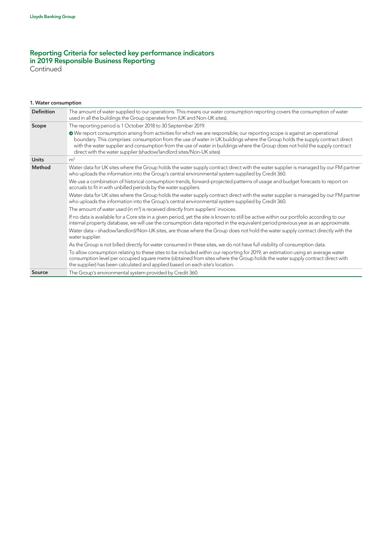Continued

#### 1. Water consumption

| <b>Definition</b> | The amount of water supplied to our operations. This means our water consumption reporting covers the consumption of water<br>used in all the buildings the Group operates from (UK and Non-UK sites).                                                                                                                                                                                                                                                             |
|-------------------|--------------------------------------------------------------------------------------------------------------------------------------------------------------------------------------------------------------------------------------------------------------------------------------------------------------------------------------------------------------------------------------------------------------------------------------------------------------------|
| Scope             | The reporting period is 1 October 2018 to 30 September 2019.                                                                                                                                                                                                                                                                                                                                                                                                       |
|                   | • We report consumption arising from activities for which we are responsible; our reporting scope is against an operational<br>boundary. This comprises: consumption from the use of water in UK buildings where the Group holds the supply contract direct<br>with the water supplier and consumption from the use of water in buildings where the Group does not hold the supply contract<br>direct with the water supplier (shadow/landlord sites/Non-UK sites) |
| <b>Units</b>      | m <sup>3</sup>                                                                                                                                                                                                                                                                                                                                                                                                                                                     |
| Method            | Water data for UK sites where the Group holds the water supply contract direct with the water supplier is managed by our FM partner<br>who uploads the information into the Group's central environmental system supplied by Credit 360.                                                                                                                                                                                                                           |
|                   | We use a combination of historical consumption trends, forward-projected patterns of usage and budget forecasts to report on<br>accruals to fit in with unbilled periods by the water suppliers.                                                                                                                                                                                                                                                                   |
|                   | Water data for UK sites where the Group holds the water supply contract direct with the water supplier is managed by our FM partner<br>who uploads the information into the Group's central environmental system supplied by Credit 360.                                                                                                                                                                                                                           |
|                   | The amount of water used (in m <sup>3</sup> ) is received directly from suppliers' invoices.                                                                                                                                                                                                                                                                                                                                                                       |
|                   | If no data is available for a Core site in a given period, yet the site is known to still be active within our portfolio according to our<br>internal property database, we will use the consumption data reported in the equivalent period previous year as an approximate.                                                                                                                                                                                       |
|                   | Water data – shadow/landlord/Non-UK sites, are those where the Group does not hold the water supply contract directly with the<br>water supplier.                                                                                                                                                                                                                                                                                                                  |
|                   | As the Group is not billed directly for water consumed in these sites, we do not have full visibility of consumption data.                                                                                                                                                                                                                                                                                                                                         |
|                   | To allow consumption relating to these sites to be included within our reporting for 2019, an estimation using an average water<br>consumption level per occupied square metre (obtained from sites where the Group holds the water supply contract direct with<br>the supplier) has been calculated and applied based on each site's location.                                                                                                                    |
| Source            | The Group's environmental system provided by Credit 360.                                                                                                                                                                                                                                                                                                                                                                                                           |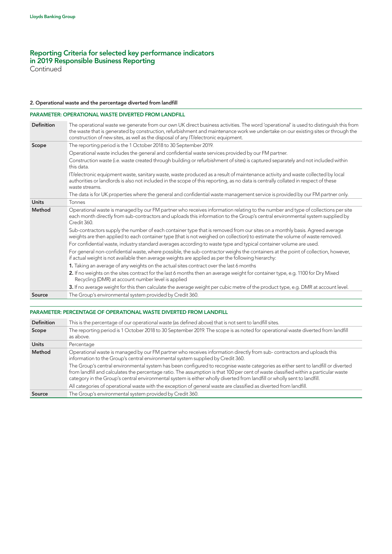**Continued** 

### 2. Operational waste and the percentage diverted from landfill

### PARAMETER: OPERATIONAL WASTE DIVERTED FROM LANDFILL

| <b>Definition</b> | The operational waste we generate from our own UK direct business activities. The word 'operational' is used to distinguish this from<br>the waste that is generated by construction, refurbishment and maintenance work we undertake on our existing sites or through the<br>construction of new sites, as well as the disposal of any IT/electronic equipment. |
|-------------------|------------------------------------------------------------------------------------------------------------------------------------------------------------------------------------------------------------------------------------------------------------------------------------------------------------------------------------------------------------------|
| Scope             | The reporting period is the 1 October 2018 to 30 September 2019.                                                                                                                                                                                                                                                                                                 |
|                   | Operational waste includes the general and confidential waste services provided by our FM partner.                                                                                                                                                                                                                                                               |
|                   | Construction waste (i.e. waste created through building or refurbishment of sites) is captured separately and not included within<br>this data.                                                                                                                                                                                                                  |
|                   | IT/electronic equipment waste, sanitary waste, waste produced as a result of maintenance activity and waste collected by local<br>authorities or landlords is also not included in the scope of this reporting, as no data is centrally collated in respect of these<br>waste streams.                                                                           |
|                   | The data is for UK properties where the general and confidential waste management service is provided by our FM partner only.                                                                                                                                                                                                                                    |
| <b>Units</b>      | Tonnes                                                                                                                                                                                                                                                                                                                                                           |
| Method            | Operational waste is managed by our FM partner who receives information relating to the number and type of collections per site<br>each month directly from sub-contractors and uploads this information to the Group's central environmental system supplied by<br>Credit 360.                                                                                  |
|                   | Sub-contractors supply the number of each container type that is removed from our sites on a monthly basis. Agreed average<br>weights are then applied to each container type (that is not weighed on collection) to estimate the volume of waste removed.                                                                                                       |
|                   | For confidential waste, industry standard averages according to waste type and typical container volume are used.                                                                                                                                                                                                                                                |
|                   | For general non-confidential waste, where possible, the sub-contractor weighs the containers at the point of collection, however,<br>if actual weight is not available then average weights are applied as per the following hierarchy:                                                                                                                          |
|                   | 1. Taking an average of any weights on the actual sites contract over the last 6 months                                                                                                                                                                                                                                                                          |
|                   | 2. If no weights on the sites contract for the last 6 months then an average weight for container type, e.g. 1100 for Dry Mixed<br>Recycling (DMR) at account number level is applied                                                                                                                                                                            |
|                   | 3. If no average weight for this then calculate the average weight per cubic metre of the product type, e.g. DMR at account level.                                                                                                                                                                                                                               |
| Source            | The Group's environmental system provided by Credit 360.                                                                                                                                                                                                                                                                                                         |

#### PARAMETER: PERCENTAGE OF OPERATIONAL WASTE DIVERTED FROM LANDFILL

| <b>Definition</b> | This is the percentage of our operational waste (as defined above) that is not sent to landfill sites.                                                                                                                                                                                                                                                                                                |
|-------------------|-------------------------------------------------------------------------------------------------------------------------------------------------------------------------------------------------------------------------------------------------------------------------------------------------------------------------------------------------------------------------------------------------------|
| Scope             | The reporting period is 1 October 2018 to 30 September 2019. The scope is as noted for operational waste diverted from landfill<br>as above.                                                                                                                                                                                                                                                          |
| <b>Units</b>      | Percentage                                                                                                                                                                                                                                                                                                                                                                                            |
| Method            | Operational waste is managed by our FM partner who receives information directly from sub-contractors and uploads this<br>information to the Group's central environmental system supplied by Credit 360.                                                                                                                                                                                             |
|                   | The Group's central environmental system has been configured to recognise waste categories as either sent to landfill or diverted<br>from landfill and calculates the percentage ratio. The assumption is that 100 per cent of waste classified within a particular waste<br>category in the Group's central environmental system is either wholly diverted from landfill or wholly sent to landfill. |
|                   | All categories of operational waste with the exception of general waste are classified as diverted from landfill.                                                                                                                                                                                                                                                                                     |
| Source            | The Group's environmental system provided by Credit 360.                                                                                                                                                                                                                                                                                                                                              |